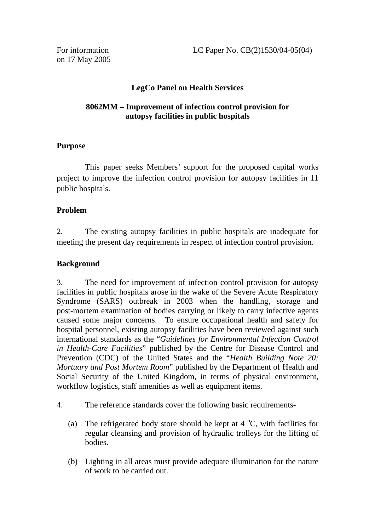on 17 May 2005

## **LegCo Panel on Health Services**

#### **8062MM – Improvement of infection control provision for autopsy facilities in public hospitals**

## **Purpose**

 This paper seeks Members' support for the proposed capital works project to improve the infection control provision for autopsy facilities in 11 public hospitals.

## **Problem**

2. The existing autopsy facilities in public hospitals are inadequate for meeting the present day requirements in respect of infection control provision.

### **Background**

3. The need for improvement of infection control provision for autopsy facilities in public hospitals arose in the wake of the Severe Acute Respiratory Syndrome (SARS) outbreak in 2003 when the handling, storage and post-mortem examination of bodies carrying or likely to carry infective agents caused some major concerns. To ensure occupational health and safety for hospital personnel, existing autopsy facilities have been reviewed against such international standards as the "*Guidelines for Environmental Infection Control in Health-Care Facilities*" published by the Centre for Disease Control and Prevention (CDC) of the United States and the "*Health Building Note 20: Mortuary and Post Mortem Room*" published by the Department of Health and Social Security of the United Kingdom, in terms of physical environment, workflow logistics, staff amenities as well as equipment items.

- 4. The reference standards cover the following basic requirements-
	- (a) The refrigerated body store should be kept at  $4^{\circ}$ C, with facilities for regular cleansing and provision of hydraulic trolleys for the lifting of bodies.
	- (b) Lighting in all areas must provide adequate illumination for the nature of work to be carried out.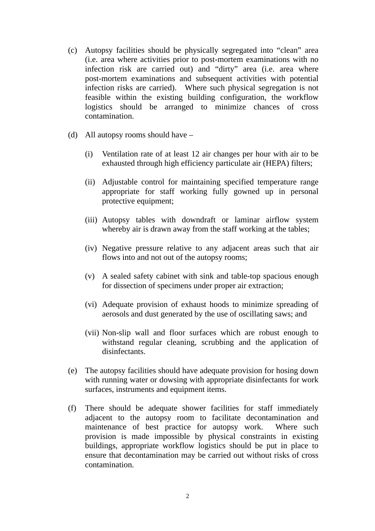- (c) Autopsy facilities should be physically segregated into "clean" area (i.e. area where activities prior to post-mortem examinations with no infection risk are carried out) and "dirty" area (i.e. area where post-mortem examinations and subsequent activities with potential infection risks are carried). Where such physical segregation is not feasible within the existing building configuration, the workflow logistics should be arranged to minimize chances of cross contamination.
- (d) All autopsy rooms should have
	- (i) Ventilation rate of at least 12 air changes per hour with air to be exhausted through high efficiency particulate air (HEPA) filters;
	- (ii) Adjustable control for maintaining specified temperature range appropriate for staff working fully gowned up in personal protective equipment;
	- (iii) Autopsy tables with downdraft or laminar airflow system whereby air is drawn away from the staff working at the tables;
	- (iv) Negative pressure relative to any adjacent areas such that air flows into and not out of the autopsy rooms;
	- (v) A sealed safety cabinet with sink and table-top spacious enough for dissection of specimens under proper air extraction;
	- (vi) Adequate provision of exhaust hoods to minimize spreading of aerosols and dust generated by the use of oscillating saws; and
	- (vii) Non-slip wall and floor surfaces which are robust enough to withstand regular cleaning, scrubbing and the application of disinfectants.
- (e) The autopsy facilities should have adequate provision for hosing down with running water or dowsing with appropriate disinfectants for work surfaces, instruments and equipment items.
- (f) There should be adequate shower facilities for staff immediately adjacent to the autopsy room to facilitate decontamination and maintenance of best practice for autopsy work. Where such provision is made impossible by physical constraints in existing buildings, appropriate workflow logistics should be put in place to ensure that decontamination may be carried out without risks of cross contamination.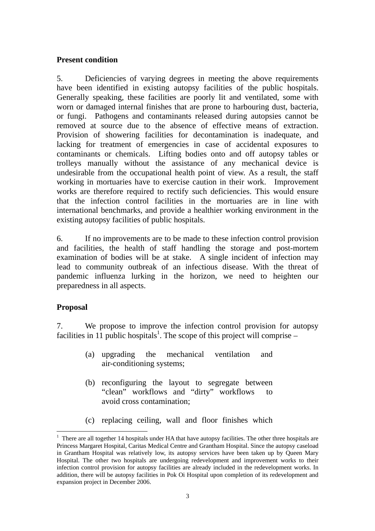#### **Present condition**

5. Deficiencies of varying degrees in meeting the above requirements have been identified in existing autopsy facilities of the public hospitals. Generally speaking, these facilities are poorly lit and ventilated, some with worn or damaged internal finishes that are prone to harbouring dust, bacteria, or fungi. Pathogens and contaminants released during autopsies cannot be removed at source due to the absence of effective means of extraction. Provision of showering facilities for decontamination is inadequate, and lacking for treatment of emergencies in case of accidental exposures to contaminants or chemicals. Lifting bodies onto and off autopsy tables or trolleys manually without the assistance of any mechanical device is undesirable from the occupational health point of view. As a result, the staff working in mortuaries have to exercise caution in their work. Improvement works are therefore required to rectify such deficiencies. This would ensure that the infection control facilities in the mortuaries are in line with international benchmarks, and provide a healthier working environment in the existing autopsy facilities of public hospitals.

6. If no improvements are to be made to these infection control provision and facilities, the health of staff handling the storage and post-mortem examination of bodies will be at stake. A single incident of infection may lead to community outbreak of an infectious disease. With the threat of pandemic influenza lurking in the horizon, we need to heighten our preparedness in all aspects.

### **Proposal**

 $\overline{a}$ 

7. We propose to improve the infection control provision for autopsy facilities in 11 public hospitals<sup>1</sup>. The scope of this project will comprise –

- (a) upgrading the mechanical ventilation and air-conditioning systems;
- (b) reconfiguring the layout to segregate between "clean" workflows and "dirty" workflows to avoid cross contamination;
- (c) replacing ceiling, wall and floor finishes which

<sup>1</sup> There are all together 14 hospitals under HA that have autopsy facilities. The other three hospitals are Princess Margaret Hospital, Caritas Medical Centre and Grantham Hospital. Since the autopsy caseload in Grantham Hospital was relatively low, its autopsy services have been taken up by Queen Mary Hospital. The other two hospitals are undergoing redevelopment and improvement works to their infection control provision for autopsy facilities are already included in the redevelopment works. In addition, there will be autopsy facilities in Pok Oi Hospital upon completion of its redevelopment and expansion project in December 2006.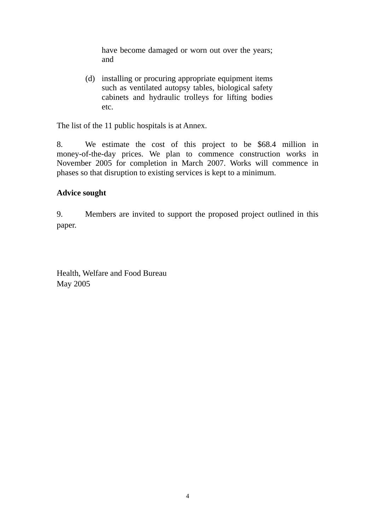have become damaged or worn out over the years; and

(d) installing or procuring appropriate equipment items such as ventilated autopsy tables, biological safety cabinets and hydraulic trolleys for lifting bodies etc.

The list of the 11 public hospitals is at Annex.

8. We estimate the cost of this project to be \$68.4 million in money-of-the-day prices. We plan to commence construction works in November 2005 for completion in March 2007. Works will commence in phases so that disruption to existing services is kept to a minimum.

### **Advice sought**

9. Members are invited to support the proposed project outlined in this paper.

Health, Welfare and Food Bureau May 2005